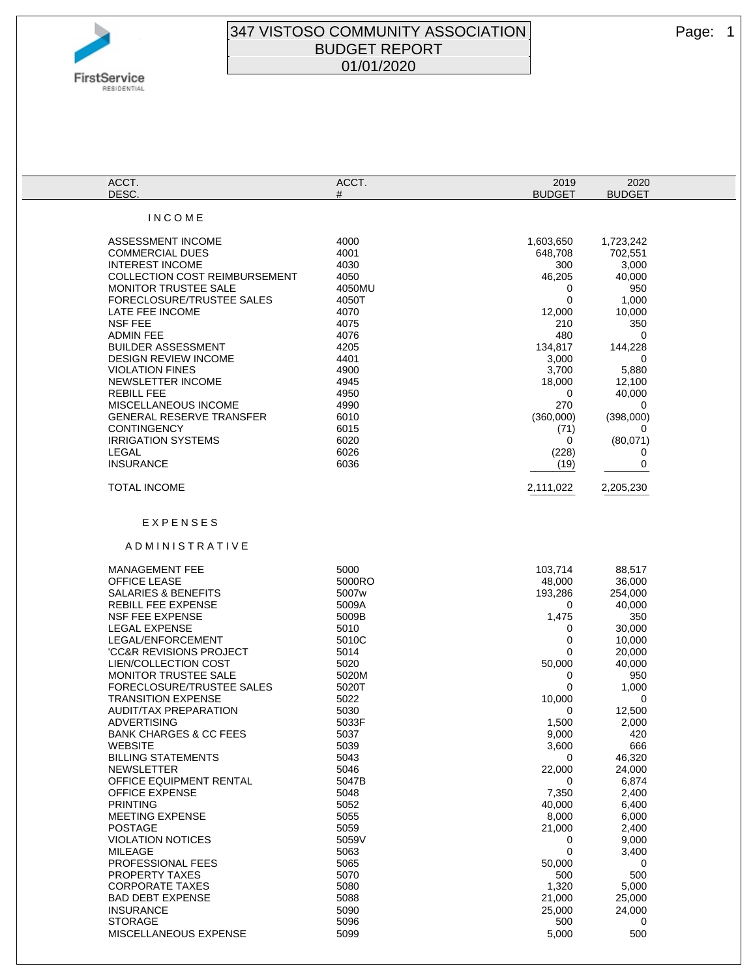

## 347 VISTOSO COMMUNITY ASSOCIATION Page: 1 BUDGET REPORT 01/01/2020

| ACCT.                                                    | ACCT.          | 2019             | 2020             |  |
|----------------------------------------------------------|----------------|------------------|------------------|--|
| DESC.                                                    | #              | <b>BUDGET</b>    | <b>BUDGET</b>    |  |
| INCOME                                                   |                |                  |                  |  |
|                                                          |                |                  |                  |  |
| ASSESSMENT INCOME                                        | 4000           | 1,603,650        | 1,723,242        |  |
| <b>COMMERCIAL DUES</b>                                   | 4001           | 648,708          | 702,551          |  |
| <b>INTEREST INCOME</b>                                   | 4030           | 300              | 3,000            |  |
| <b>COLLECTION COST REIMBURSEMENT</b>                     | 4050           | 46,205           | 40,000           |  |
| MONITOR TRUSTEE SALE                                     | 4050MU         | 0                | 950              |  |
| FORECLOSURE/TRUSTEE SALES                                | 4050T          | 0                | 1,000            |  |
| LATE FEE INCOME                                          | 4070           | 12,000           | 10,000           |  |
| <b>NSF FEE</b>                                           | 4075           | 210              | 350              |  |
| <b>ADMIN FEE</b>                                         | 4076           | 480              | 0                |  |
| <b>BUILDER ASSESSMENT</b><br><b>DESIGN REVIEW INCOME</b> | 4205<br>4401   | 134,817<br>3,000 | 144,228<br>0     |  |
| <b>VIOLATION FINES</b>                                   | 4900           | 3,700            | 5,880            |  |
| NEWSLETTER INCOME                                        | 4945           | 18,000           | 12,100           |  |
| <b>REBILL FEE</b>                                        | 4950           | 0                | 40,000           |  |
| MISCELLANEOUS INCOME                                     | 4990           | 270              | 0                |  |
| <b>GENERAL RESERVE TRANSFER</b>                          | 6010           | (360,000)        | (398,000)        |  |
| <b>CONTINGENCY</b>                                       | 6015           | (71)             | 0                |  |
| <b>IRRIGATION SYSTEMS</b>                                | 6020           | 0                | (80,071)         |  |
| LEGAL                                                    | 6026           | (228)            | 0                |  |
| <b>INSURANCE</b>                                         | 6036           | (19)             | 0                |  |
|                                                          |                |                  |                  |  |
| <b>TOTAL INCOME</b>                                      |                | 2,111,022        | 2,205,230        |  |
|                                                          |                |                  |                  |  |
| EXPENSES                                                 |                |                  |                  |  |
|                                                          |                |                  |                  |  |
| ADMINISTRATIVE                                           |                |                  |                  |  |
|                                                          |                |                  |                  |  |
| <b>MANAGEMENT FEE</b>                                    | 5000           | 103,714          | 88,517           |  |
| <b>OFFICE LEASE</b>                                      | 5000RO         | 48,000           | 36,000           |  |
| <b>SALARIES &amp; BENEFITS</b>                           | 5007w          | 193,286          | 254,000          |  |
| <b>REBILL FEE EXPENSE</b><br><b>NSF FEE EXPENSE</b>      | 5009A<br>5009B | 0<br>1,475       | 40,000<br>350    |  |
| <b>LEGAL EXPENSE</b>                                     | 5010           | 0                | 30,000           |  |
| LEGAL/ENFORCEMENT                                        | 5010C          | 0                | 10,000           |  |
| <b>'CC&amp;R REVISIONS PROJECT</b>                       | 5014           | 0                | 20,000           |  |
| LIEN/COLLECTION COST                                     | 5020           | 50,000           | 40,000           |  |
| <b>MONITOR TRUSTEE SALE</b>                              | 5020M          | 0                | 950              |  |
| FORECLOSURE/TRUSTEE SALES                                | 5020T          | 0                | 1,000            |  |
| <b>TRANSITION EXPENSE</b>                                | 5022           | 10,000           | 0                |  |
| <b>AUDIT/TAX PREPARATION</b>                             | 5030           | 0                | 12,500           |  |
| ADVERTISING                                              | 5033F          | 1,500            | 2,000            |  |
| <b>BANK CHARGES &amp; CC FEES</b>                        | 5037           | 9,000            | 420              |  |
| <b>WEBSITE</b><br><b>BILLING STATEMENTS</b>              | 5039           | 3,600            | 666              |  |
| <b>NEWSLETTER</b>                                        | 5043<br>5046   | 0<br>22,000      | 46,320<br>24,000 |  |
| <b>OFFICE EQUIPMENT RENTAL</b>                           | 5047B          | 0                | 6,874            |  |
| <b>OFFICE EXPENSE</b>                                    | 5048           | 7,350            | 2,400            |  |
| <b>PRINTING</b>                                          | 5052           | 40,000           | 6,400            |  |
| <b>MEETING EXPENSE</b>                                   | 5055           | 8,000            | 6,000            |  |
| <b>POSTAGE</b>                                           | 5059           | 21,000           | 2,400            |  |
| <b>VIOLATION NOTICES</b>                                 | 5059V          | 0                | 9,000            |  |
| MILEAGE                                                  | 5063           | $\mathbf 0$      | 3,400            |  |
| PROFESSIONAL FEES                                        | 5065           | 50,000           | 0                |  |
| PROPERTY TAXES                                           | 5070           | 500              | 500              |  |
| <b>CORPORATE TAXES</b>                                   | 5080           | 1,320            | 5,000            |  |
| <b>BAD DEBT EXPENSE</b>                                  | 5088           | 21,000           | 25,000           |  |
| <b>INSURANCE</b>                                         | 5090           | 25,000           | 24,000           |  |
| <b>STORAGE</b>                                           | 5096           | 500              | $\mathbf 0$      |  |
| MISCELLANEOUS EXPENSE                                    | 5099           | 5,000            | 500              |  |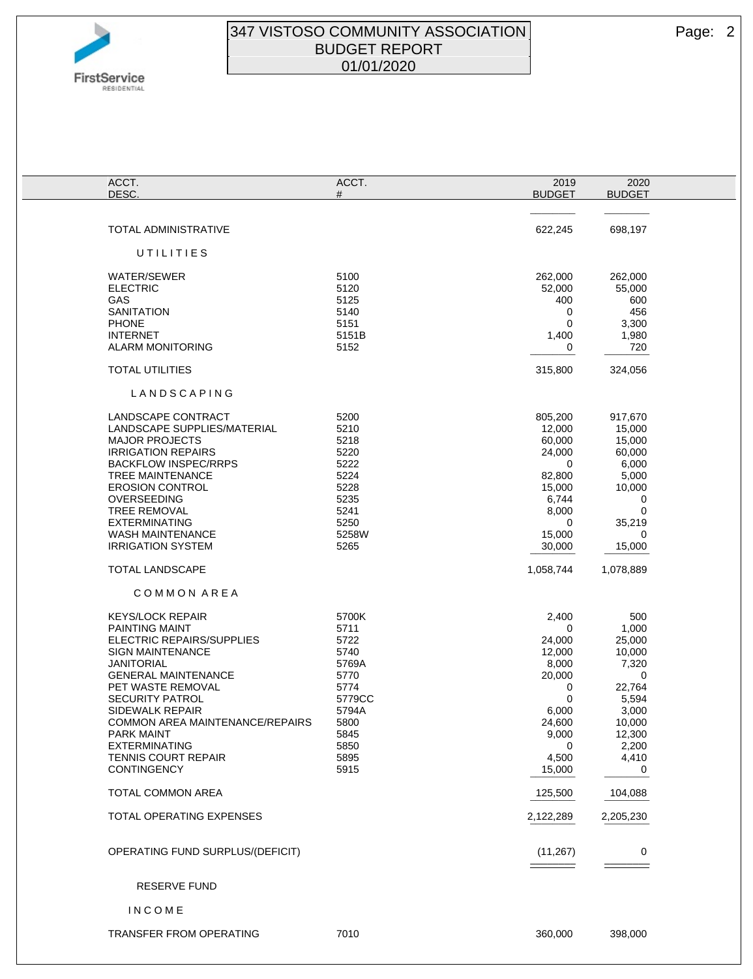

## 347 VISTOSO COMMUNITY ASSOCIATION **Page: 2** BUDGET REPORT 01/01/2020

| ACCT.                            | ACCT.  | 2019          | 2020            |
|----------------------------------|--------|---------------|-----------------|
| DESC.                            | #      | <b>BUDGET</b> | <b>BUDGET</b>   |
|                                  |        |               |                 |
|                                  |        |               | $- - - - - - -$ |
| TOTAL ADMINISTRATIVE             |        | 622,245       | 698,197         |
|                                  |        |               |                 |
| UTILITIES                        |        |               |                 |
|                                  |        |               |                 |
| <b>WATER/SEWER</b>               | 5100   | 262,000       | 262,000         |
| <b>ELECTRIC</b>                  | 5120   | 52,000        | 55,000          |
| GAS                              | 5125   | 400           | 600             |
| <b>SANITATION</b>                | 5140   | 0             | 456             |
| <b>PHONE</b>                     | 5151   | $\mathbf 0$   | 3,300           |
| <b>INTERNET</b>                  | 5151B  | 1,400         | 1,980           |
| <b>ALARM MONITORING</b>          | 5152   | 0             | 720             |
|                                  |        |               |                 |
| <b>TOTAL UTILITIES</b>           |        |               | 324,056         |
|                                  |        | 315,800       |                 |
|                                  |        |               |                 |
| LANDSCAPING                      |        |               |                 |
|                                  |        |               |                 |
| LANDSCAPE CONTRACT               | 5200   | 805,200       | 917,670         |
| LANDSCAPE SUPPLIES/MATERIAL      | 5210   | 12,000        | 15,000          |
| <b>MAJOR PROJECTS</b>            | 5218   | 60,000        | 15,000          |
| <b>IRRIGATION REPAIRS</b>        | 5220   | 24,000        | 60,000          |
| <b>BACKFLOW INSPEC/RRPS</b>      | 5222   | 0             | 6,000           |
| TREE MAINTENANCE                 | 5224   | 82,800        | 5,000           |
| <b>EROSION CONTROL</b>           | 5228   | 15,000        | 10,000          |
| OVERSEEDING                      | 5235   | 6,744         | 0               |
| <b>TREE REMOVAL</b>              | 5241   | 8,000         | 0               |
| <b>EXTERMINATING</b>             | 5250   | 0             | 35,219          |
| <b>WASH MAINTENANCE</b>          | 5258W  | 15,000        | 0               |
| <b>IRRIGATION SYSTEM</b>         | 5265   | 30,000        | 15,000          |
|                                  |        |               |                 |
| <b>TOTAL LANDSCAPE</b>           |        | 1,058,744     | 1,078,889       |
|                                  |        |               |                 |
| COMMON AREA                      |        |               |                 |
|                                  |        |               |                 |
| <b>KEYS/LOCK REPAIR</b>          | 5700K  | 2,400         | 500             |
|                                  | 5711   | 0             |                 |
| <b>PAINTING MAINT</b>            |        |               | 1,000           |
| ELECTRIC REPAIRS/SUPPLIES        | 5722   | 24,000        | 25,000          |
| <b>SIGN MAINTENANCE</b>          | 5740   | 12,000        | 10,000          |
| <b>JANITORIAL</b>                | 5769A  | 8,000         | 7,320           |
| <b>GENERAL MAINTENANCE</b>       | 5770   | 20,000        | 0               |
| PET WASTE REMOVAL                | 5774   | 0             | 22,764          |
| <b>SECURITY PATROL</b>           | 5779CC | 0             | 5,594           |
| <b>SIDEWALK REPAIR</b>           | 5794A  | 6,000         | 3,000           |
| COMMON AREA MAINTENANCE/REPAIRS  | 5800   | 24,600        | 10,000          |
| <b>PARK MAINT</b>                | 5845   | 9,000         | 12,300          |
| <b>EXTERMINATING</b>             | 5850   | $\mathbf 0$   | 2,200           |
| <b>TENNIS COURT REPAIR</b>       | 5895   | 4,500         | 4,410           |
| <b>CONTINGENCY</b>               | 5915   | 15,000        | 0               |
|                                  |        |               |                 |
| TOTAL COMMON AREA                |        | 125,500       | 104,088         |
|                                  |        |               |                 |
| TOTAL OPERATING EXPENSES         |        | 2,122,289     | 2,205,230       |
|                                  |        |               |                 |
|                                  |        |               |                 |
| OPERATING FUND SURPLUS/(DEFICIT) |        | (11, 267)     | 0               |
|                                  |        |               |                 |
|                                  |        |               |                 |
| <b>RESERVE FUND</b>              |        |               |                 |
|                                  |        |               |                 |
| <b>INCOME</b>                    |        |               |                 |
|                                  |        |               |                 |
| <b>TRANSFER FROM OPERATING</b>   | 7010   | 360,000       | 398,000         |
|                                  |        |               |                 |